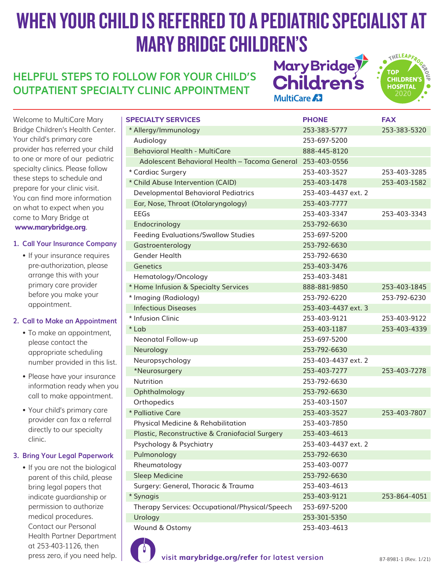# WHEN YOUR CHILD IS REFERRED TO A PEDIATRIC SPECIALIST AT MARY BRIDGE CHILDREN'S

## **HELPFUL STEPS TO FOLLOW FOR YOUR CHILD'S OUTPATIENT SPECIALTY CLINIC APPOINTMENT**

MaryBridge<sup>y</sup><br>Children's MultiCare



Welcome to MultiCare Mary Bridge Children's Health Center. Your child's primary care provider has referred your child to one or more of our pediatric specialty clinics. Please follow these steps to schedule and prepare for your clinic visit. You can find more information on what to expect when you come to Mary Bridge at **www.marybridge.org**.

#### **1. Call Your Insurance Company**

• If your insurance requires pre-authorization, please arrange this with your primary care provider before you make your appointment.

#### **2. Call to Make an Appointment**

- To make an appointment, please contact the appropriate scheduling number provided in this list.
- Please have your insurance information ready when you call to make appointment.
- Your child's primary care provider can fax a referral directly to our specialty clinic.

#### **3. Bring Your Legal Paperwork**

• If you are not the biological parent of this child, please bring legal papers that indicate guardianship or permission to authorize medical procedures. Contact our Personal Health Partner Department at 253-403-1126, then

| <b>SPECIALTY SERVICES</b>                                  | <b>PHONE</b>        | <b>FAX</b>   |
|------------------------------------------------------------|---------------------|--------------|
| * Allergy/Immunology                                       | 253-383-5777        | 253-383-5320 |
| Audiology                                                  | 253-697-5200        |              |
| <b>Behavioral Health - MultiCare</b>                       | 888-445-8120        |              |
| Adolescent Behavioral Health - Tacoma General 253-403-0556 |                     |              |
| * Cardiac Surgery                                          | 253-403-3527        | 253-403-3285 |
| * Child Abuse Intervention (CAID)                          | 253-403-1478        | 253-403-1582 |
| Developmental Behavioral Pediatrics                        | 253-403-4437 ext. 2 |              |
| Ear, Nose, Throat (Otolaryngology)                         | 253-403-7777        |              |
| <b>EEGs</b>                                                | 253-403-3347        | 253-403-3343 |
| Endocrinology                                              | 253-792-6630        |              |
| <b>Feeding Evaluations/Swallow Studies</b>                 | 253-697-5200        |              |
| Gastroenterology                                           | 253-792-6630        |              |
| <b>Gender Health</b>                                       | 253-792-6630        |              |
| Genetics                                                   | 253-403-3476        |              |
| Hematology/Oncology                                        | 253-403-3481        |              |
| * Home Infusion & Specialty Services                       | 888-881-9850        | 253-403-1845 |
| * Imaging (Radiology)                                      | 253-792-6220        | 253-792-6230 |
| <b>Infectious Diseases</b>                                 | 253-403-4437 ext. 3 |              |
| * Infusion Clinic                                          | 253-403-9121        | 253-403-9122 |
| * Lab                                                      | 253-403-1187        | 253-403-4339 |
| Neonatal Follow-up                                         | 253-697-5200        |              |
| Neurology                                                  | 253-792-6630        |              |
| Neuropsychology                                            | 253-403-4437 ext. 2 |              |
| *Neurosurgery                                              | 253-403-7277        | 253-403-7278 |
| Nutrition                                                  | 253-792-6630        |              |
| Ophthalmology                                              | 253-792-6630        |              |
| Orthopedics                                                | 253-403-1507        |              |
| * Palliative Care                                          | 253-403-3527        | 253-403-7807 |
| Physical Medicine & Rehabilitation                         | 253-403-7850        |              |
| Plastic, Reconstructive & Craniofacial Surgery             | 253-403-4613        |              |
| Psychology & Psychiatry                                    | 253-403-4437 ext. 2 |              |
| Pulmonology                                                | 253-792-6630        |              |
| Rheumatology                                               | 253-403-0077        |              |
| <b>Sleep Medicine</b>                                      | 253-792-6630        |              |
| Surgery: General, Thoracic & Trauma                        | 253-403-4613        |              |
| * Synagis                                                  | 253-403-9121        | 253-864-4051 |
| Therapy Services: Occupational/Physical/Speech             | 253-697-5200        |              |
| Urology                                                    | 253-301-5350        |              |
| Wound & Ostomy                                             | 253-403-4613        |              |
|                                                            |                     |              |